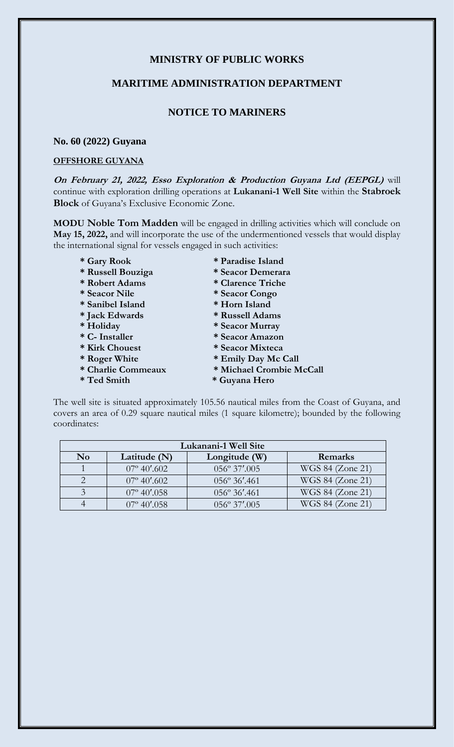# **MINISTRY OF PUBLIC WORKS**

### **MARITIME ADMINISTRATION DEPARTMENT**

## **NOTICE TO MARINERS**

#### **No. 60 (2022) Guyana**

### **OFFSHORE GUYANA**

**On February 21, 2022, Esso Exploration & Production Guyana Ltd (EEPGL)** will continue with exploration drilling operations at **Lukanani-1 Well Site** within the **Stabroek Block** of Guyana's Exclusive Economic Zone.

**MODU Noble Tom Madden** will be engaged in drilling activities which will conclude on **May 15, 2022,** and will incorporate the use of the undermentioned vessels that would display the international signal for vessels engaged in such activities:

- 
- 
- 
- 
- 
- 
- 
- 
- 
- **\* Roger White \* Emily Day Mc Call**
- **\* Charlie Commeaux \* Michael Crombie McCall**
- 
- **\* Gary Rook \* Paradise Island**
- **\* Russell Bouziga \* Seacor Demerara**
- **\* Robert Adams \* Clarence Triche**
- **\* Seacor Nile \* Seacor Congo**
- **\* Sanibel Island \* Horn Island**
- **\* Jack Edwards \* Russell Adams**
- **\* Holiday \* Seacor Murray**
- **\* C- Installer \* Seacor Amazon**
	-
- **\* Kirk Chouest \* Seacor Mixteca** 
	-
- **\* Ted Smith \* Guyana Hero**

The well site is situated approximately 105.56 nautical miles from the Coast of Guyana, and covers an area of 0.29 square nautical miles (1 square kilometre); bounded by the following coordinates:

| Lukanani-1 Well Site |                      |                        |                  |
|----------------------|----------------------|------------------------|------------------|
| N <sub>0</sub>       | Latitude (N)         | Longitude (W)          | Remarks          |
|                      | $07^{\circ}$ 40'.602 | $056^{\circ}$ 37'.005  | WGS 84 (Zone 21) |
|                      | $07^{\circ}$ 40'.602 | $056^{\circ} 36'$ .461 | WGS 84 (Zone 21) |
|                      | $07^{\circ}$ 40'.058 | $056^{\circ} 36'$ .461 | WGS 84 (Zone 21) |
|                      | $07^{\circ} 40' 058$ | $056^{\circ} 37'.005$  | WGS 84 (Zone 21) |